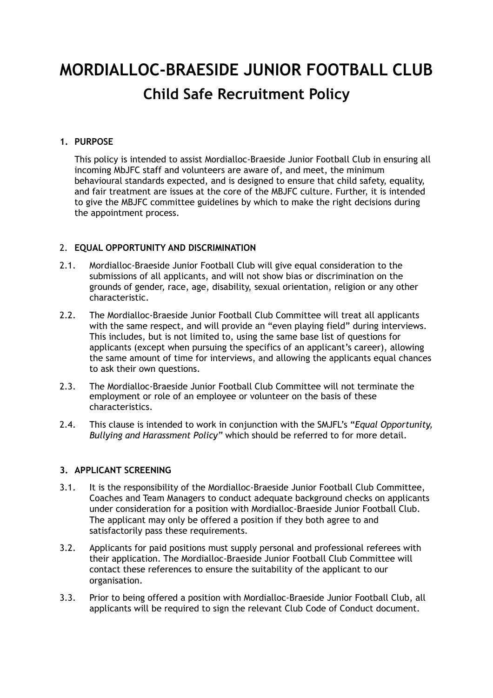# **MORDIALLOC-BRAESIDE JUNIOR FOOTBALL CLUB Child Safe Recruitment Policy**

## **1. PURPOSE**

This policy is intended to assist Mordialloc-Braeside Junior Football Club in ensuring all incoming MbJFC staff and volunteers are aware of, and meet, the minimum behavioural standards expected, and is designed to ensure that child safety, equality, and fair treatment are issues at the core of the MBJFC culture. Further, it is intended to give the MBJFC committee guidelines by which to make the right decisions during the appointment process.

### 2. **EQUAL OPPORTUNITY AND DISCRIMINATION**

- 2.1. Mordialloc-Braeside Junior Football Club will give equal consideration to the submissions of all applicants, and will not show bias or discrimination on the grounds of gender, race, age, disability, sexual orientation, religion or any other characteristic.
- 2.2. The Mordialloc-Braeside Junior Football Club Committee will treat all applicants with the same respect, and will provide an "even playing field" during interviews. This includes, but is not limited to, using the same base list of questions for applicants (except when pursuing the specifics of an applicant's career), allowing the same amount of time for interviews, and allowing the applicants equal chances to ask their own questions.
- 2.3. The Mordialloc-Braeside Junior Football Club Committee will not terminate the employment or role of an employee or volunteer on the basis of these characteristics.
- 2.4. This clause is intended to work in conjunction with the SMJFL's "*Equal Opportunity, Bullying and Harassment Policy"* which should be referred to for more detail.

# **3. APPLICANT SCREENING**

- 3.1. It is the responsibility of the Mordialloc-Braeside Junior Football Club Committee, Coaches and Team Managers to conduct adequate background checks on applicants under consideration for a position with Mordialloc-Braeside Junior Football Club. The applicant may only be offered a position if they both agree to and satisfactorily pass these requirements.
- 3.2. Applicants for paid positions must supply personal and professional referees with their application. The Mordialloc-Braeside Junior Football Club Committee will contact these references to ensure the suitability of the applicant to our organisation.
- 3.3. Prior to being offered a position with Mordialloc-Braeside Junior Football Club, all applicants will be required to sign the relevant Club Code of Conduct document.